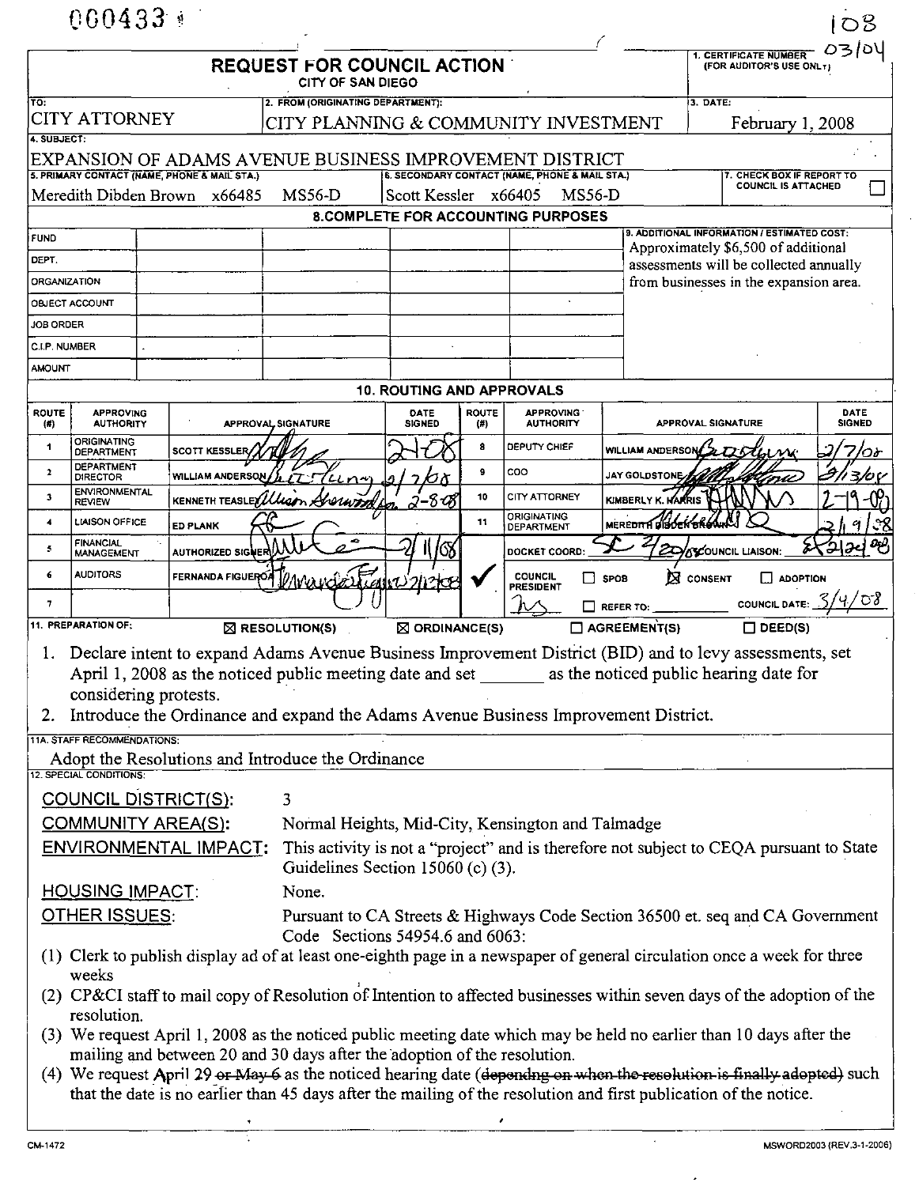|                                                                                                                                                                                                                                                                                                                                                                  | $000433*$                             |                                              |                                                         |                                                                                                                                                            |                     |                                           |                         |                                             | 108                   |  |
|------------------------------------------------------------------------------------------------------------------------------------------------------------------------------------------------------------------------------------------------------------------------------------------------------------------------------------------------------------------|---------------------------------------|----------------------------------------------|---------------------------------------------------------|------------------------------------------------------------------------------------------------------------------------------------------------------------|---------------------|-------------------------------------------|-------------------------|---------------------------------------------|-----------------------|--|
| 1. CERTIFICATE NUMBER<br><b>REQUEST FOR COUNCIL ACTION</b><br>(FOR AUDITOR'S USE ONL T)<br><b>CITY OF SAN DIEGO</b>                                                                                                                                                                                                                                              |                                       |                                              |                                                         |                                                                                                                                                            |                     |                                           |                         |                                             | 03/04                 |  |
| TO:                                                                                                                                                                                                                                                                                                                                                              |                                       |                                              | 2. FROM (ORIGINATING DEPARTMENT):                       |                                                                                                                                                            |                     |                                           |                         | 3. DATE:                                    |                       |  |
|                                                                                                                                                                                                                                                                                                                                                                  | <b>CITY ATTORNEY</b>                  |                                              |                                                         | CITY PLANNING & COMMUNITY INVESTMENT                                                                                                                       |                     |                                           |                         |                                             | February 1, 2008      |  |
| 4. SUBJECT:                                                                                                                                                                                                                                                                                                                                                      |                                       | 5. PRIMARY CONTACT (NAME, PHONE & MAIL STA.) | EXPANSION OF ADAMS AVENUE BUSINESS IMPROVEMENT DISTRICT |                                                                                                                                                            |                     |                                           |                         |                                             |                       |  |
|                                                                                                                                                                                                                                                                                                                                                                  |                                       | Meredith Dibden Brown x66485                 | <b>MS56-D</b>                                           | 6. SECONDARY CONTACT (NAME, PHONE & MAIL STA.)<br>7. CHECK BOX IF REPORT TO<br><b>COUNCIL IS ATTACHED</b><br>Scott Kessler x66405<br>MS56-D                |                     |                                           |                         |                                             |                       |  |
|                                                                                                                                                                                                                                                                                                                                                                  |                                       |                                              |                                                         |                                                                                                                                                            |                     | <b>8.COMPLETE FOR ACCOUNTING PURPOSES</b> |                         |                                             |                       |  |
| <b>FUND</b>                                                                                                                                                                                                                                                                                                                                                      |                                       |                                              |                                                         |                                                                                                                                                            |                     |                                           |                         | 9. ADDITIONAL INFORMATION / ESTIMATED COST: |                       |  |
| DEPT.                                                                                                                                                                                                                                                                                                                                                            |                                       |                                              |                                                         | Approximately \$6,500 of additional<br>assessments will be collected annually                                                                              |                     |                                           |                         |                                             |                       |  |
| <b>ORGANIZATION</b>                                                                                                                                                                                                                                                                                                                                              |                                       |                                              |                                                         |                                                                                                                                                            |                     |                                           |                         | from businesses in the expansion area.      |                       |  |
|                                                                                                                                                                                                                                                                                                                                                                  | OBJECT ACCOUNT                        |                                              |                                                         |                                                                                                                                                            |                     |                                           |                         |                                             |                       |  |
| <b>JOB ORDER</b>                                                                                                                                                                                                                                                                                                                                                 |                                       |                                              |                                                         |                                                                                                                                                            |                     |                                           |                         |                                             |                       |  |
| C.I.P. NUMBER                                                                                                                                                                                                                                                                                                                                                    |                                       |                                              |                                                         |                                                                                                                                                            |                     |                                           |                         |                                             |                       |  |
| <b>AMOUNT</b>                                                                                                                                                                                                                                                                                                                                                    |                                       |                                              |                                                         |                                                                                                                                                            |                     |                                           |                         |                                             |                       |  |
| <b>10. ROUTING AND APPROVALS</b>                                                                                                                                                                                                                                                                                                                                 |                                       |                                              |                                                         |                                                                                                                                                            |                     |                                           |                         |                                             |                       |  |
| <b>ROUTE</b><br>(4)                                                                                                                                                                                                                                                                                                                                              | <b>APPROVING</b><br><b>AUTHORITY</b>  |                                              | APPROVAL SIGNATURE                                      | DATE<br><b>SIGNED</b>                                                                                                                                      | <b>ROUTE</b><br>(#) | <b>APPROVING</b><br><b>AUTHORITY</b>      |                         | APPROVAL SIGNATURE                          | DATE<br><b>SIGNED</b> |  |
| 1                                                                                                                                                                                                                                                                                                                                                                | ORIGINATING<br><b>DEPARTMENT</b>      | SCOTT KESSLER                                |                                                         |                                                                                                                                                            | 8                   | DEPUTY CHIEF                              | <b>WILLIAM ANDERSON</b> |                                             | んび                    |  |
| $\mathbf{2}$                                                                                                                                                                                                                                                                                                                                                     | <b>DEPARTMENT</b><br><b>DIRECTOR</b>  | <b>WILLIAM ANDERSON</b>                      | $L$ n                                                   |                                                                                                                                                            | 9                   | coo                                       | <b>JAY GOLDSTONE</b>    |                                             | 3/0 C                 |  |
| 3                                                                                                                                                                                                                                                                                                                                                                | <b>ENVIRONMENTAL</b><br><b>REVIEW</b> | KENNETH TEASLEY LLLC                         |                                                         |                                                                                                                                                            | 10                  | CITY ATTORNEY                             | KIMBERLY K. HARRIS      |                                             |                       |  |
| 4                                                                                                                                                                                                                                                                                                                                                                | LIAISON OFFICE                        | <b>ED PLANK</b>                              |                                                         |                                                                                                                                                            | 11                  | <b>ORIGINATING</b><br>DEPARTMENT          | MEREDITH DIBOEN BR      |                                             |                       |  |
| 5                                                                                                                                                                                                                                                                                                                                                                | <b>FINANCIAL</b><br><b>MANAGEMENT</b> | AUTHORIZED SIGNER A                          |                                                         | 11/08                                                                                                                                                      |                     | DOCKET COORD:                             |                         | દ્વ<br>SCOUNCIL LIAISON:                    | <u> (સ</u> ર્ગ જો     |  |
| 6                                                                                                                                                                                                                                                                                                                                                                | <b>AUDITORS</b>                       | FERNANDA FIGUEROA                            | <i>VAvourde Light 212Kg</i>                             |                                                                                                                                                            |                     | <b>COUNCIL</b><br>П                       | <b>SPOB</b>             | $\boxtimes$ CONSENT<br>$\Box$ ADOPTION      |                       |  |
| 7                                                                                                                                                                                                                                                                                                                                                                |                                       |                                              |                                                         |                                                                                                                                                            |                     | <b>PRESIDENT</b>                          | $\Box$ REFER TO:        | <b>COUNCIL DATE:</b>                        | ′५⁄ ठ8                |  |
| 11. PREPARATION OF:<br>$\Box$ AGREEMENT(S)<br>$\Box$ DEED(S)<br>$\boxtimes$ ORDINANCE(S)<br>$\boxtimes$ RESOLUTION(S)                                                                                                                                                                                                                                            |                                       |                                              |                                                         |                                                                                                                                                            |                     |                                           |                         |                                             |                       |  |
| Declare intent to expand Adams Avenue Business Improvement District (BID) and to levy assessments, set<br>as the noticed public hearing date for<br>April 1, 2008 as the noticed public meeting date and set<br>considering protests.<br>Introduce the Ordinance and expand the Adams Avenue Business Improvement District.<br>2.<br>11A. STAFF RECOMMENDATIONS: |                                       |                                              |                                                         |                                                                                                                                                            |                     |                                           |                         |                                             |                       |  |
|                                                                                                                                                                                                                                                                                                                                                                  |                                       |                                              | Adopt the Resolutions and Introduce the Ordinance       |                                                                                                                                                            |                     |                                           |                         |                                             |                       |  |
|                                                                                                                                                                                                                                                                                                                                                                  | 12. SPECIAL CONDITIONS:               |                                              |                                                         |                                                                                                                                                            |                     |                                           |                         |                                             |                       |  |
| COUNCIL DISTRICT(S):<br>3                                                                                                                                                                                                                                                                                                                                        |                                       |                                              |                                                         |                                                                                                                                                            |                     |                                           |                         |                                             |                       |  |
|                                                                                                                                                                                                                                                                                                                                                                  | COMMUNITY AREA(S):                    |                                              |                                                         | Normal Heights, Mid-City, Kensington and Talmadge                                                                                                          |                     |                                           |                         |                                             |                       |  |
|                                                                                                                                                                                                                                                                                                                                                                  |                                       | <b>ENVIRONMENTAL IMPACT:</b>                 |                                                         | This activity is not a "project" and is therefore not subject to CEQA pursuant to State<br>Guidelines Section 15060 (c) (3).                               |                     |                                           |                         |                                             |                       |  |
| <u>HOUSING IMPACT:</u>                                                                                                                                                                                                                                                                                                                                           |                                       |                                              | None.                                                   |                                                                                                                                                            |                     |                                           |                         |                                             |                       |  |
| <b>OTHER ISSUES:</b>                                                                                                                                                                                                                                                                                                                                             |                                       |                                              |                                                         | Pursuant to CA Streets & Highways Code Section 36500 et. seq and CA Government                                                                             |                     |                                           |                         |                                             |                       |  |
|                                                                                                                                                                                                                                                                                                                                                                  |                                       |                                              |                                                         | Code Sections 54954.6 and 6063:<br>(1) Clerk to publish display ad of at least one-eighth page in a newspaper of general circulation once a week for three |                     |                                           |                         |                                             |                       |  |
| weeks<br>(2) CP&CI staff to mail copy of Resolution of Intention to affected businesses within seven days of the adoption of the                                                                                                                                                                                                                                 |                                       |                                              |                                                         |                                                                                                                                                            |                     |                                           |                         |                                             |                       |  |
| resolution.<br>(3) We request April 1, 2008 as the noticed public meeting date which may be held no earlier than 10 days after the                                                                                                                                                                                                                               |                                       |                                              |                                                         |                                                                                                                                                            |                     |                                           |                         |                                             |                       |  |
| mailing and between 20 and 30 days after the adoption of the resolution.<br>(4) We request April 29 or May 6 as the noticed hearing date (depending on when the resolution is finally adopted) such<br>that the date is no earlier than 45 days after the mailing of the resolution and first publication of the notice.                                         |                                       |                                              |                                                         |                                                                                                                                                            |                     |                                           |                         |                                             |                       |  |
|                                                                                                                                                                                                                                                                                                                                                                  |                                       |                                              |                                                         |                                                                                                                                                            |                     |                                           |                         |                                             |                       |  |

 $\epsilon$ 

 $\mathbf l$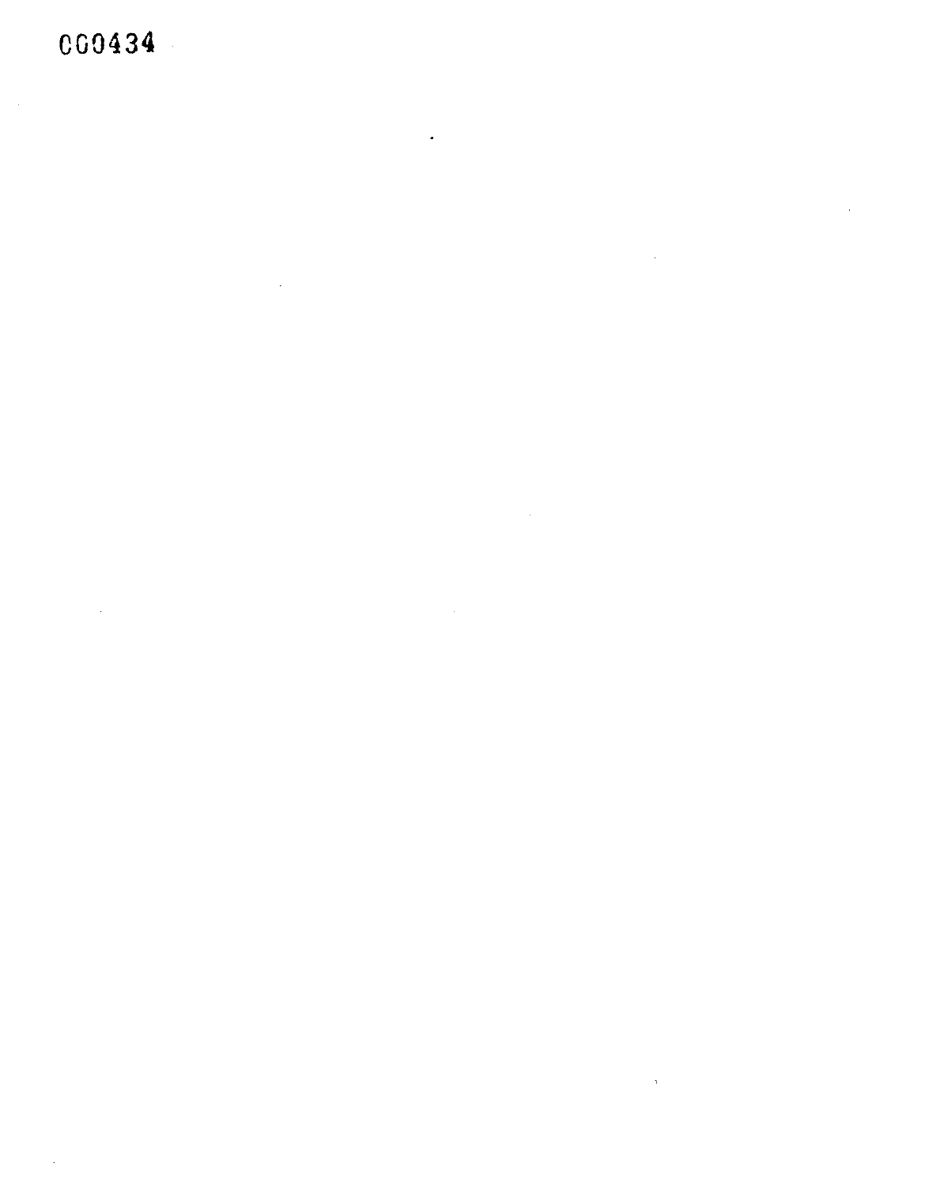CG0434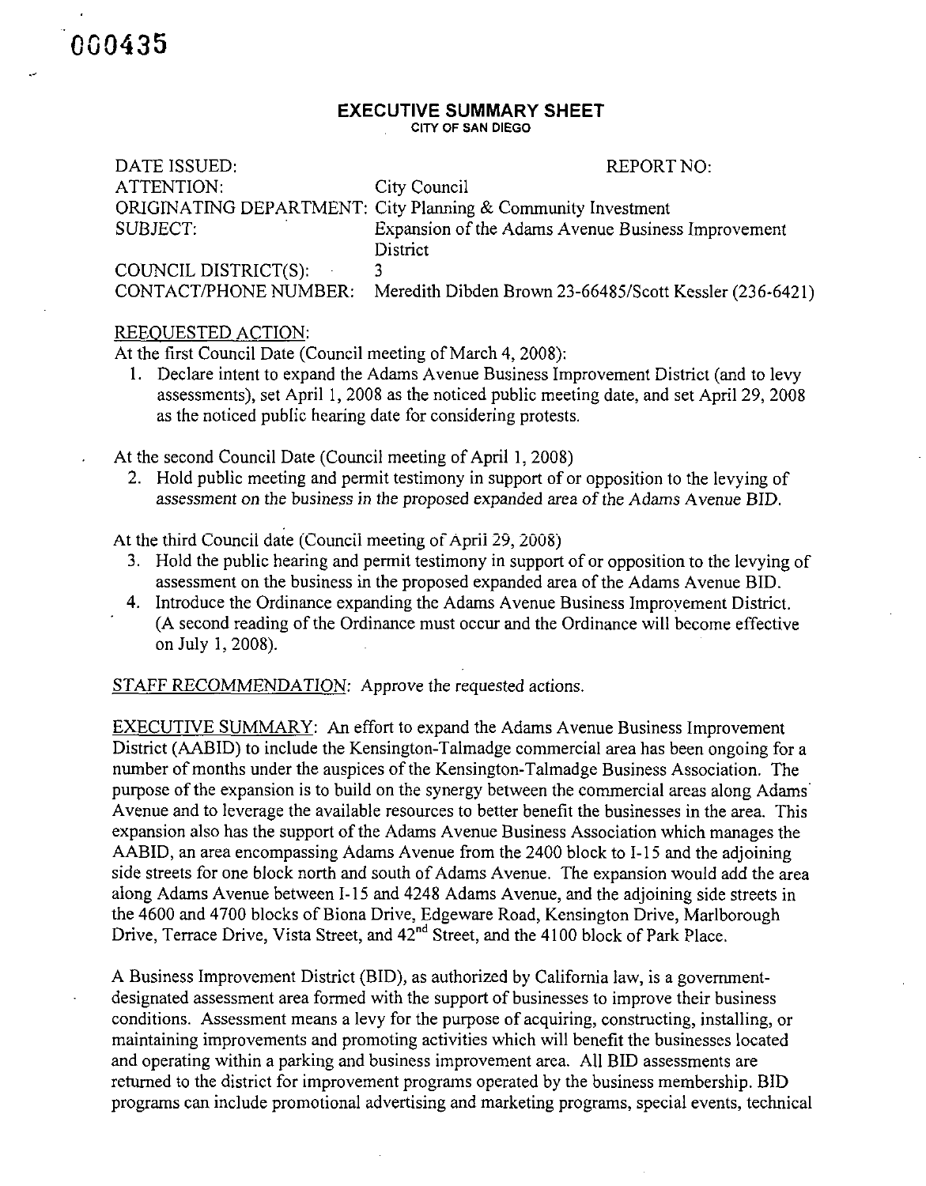DATE ISSUED:  $REPORT NO:$ ATTENTION: City Council ORIGINATING DEPARTMENT: City Planning & Community Investment SUBJECT: Expansion ofthe Adams Avenue Business Improvement **District** COUNCIL DISTRICT(S): 3<br>CONTACT/PHONE NUMBER: M Meredith Dibden Brown 23-66485/Scott Kessler (236-6421)

## REEOUESTED ACTION:

000435

At the first Council Date (Council meeting of March 4, 2008):

1. Declare intent to expand the Adams Avenue Business Improvement District (and to levy assessments), set April 1, 2008 as the noticed public meeting date, and set April 29, 2008 as the noticed public hearing date for considering protests.

At the second Council Date (Council meeting of April 1, 2008)

2. Hold public meeting and permit testimony in support of or opposition to the levying of assessment on the business in the proposed expanded area of the Adams Avenue BID.

At the third Councii date (Councii meeting of April 29, 2008)

- 3. Hold the public hearing and permit testimony in support of or opposition to the levying of assessment on the business in the proposed expanded area of the Adams Avenue BID.
- 4. Introduce the Ordinance expanding the Adams Avenue Business Improvement District. (A second reading of the Ordinance must occur and the Ordinance will become effective on July 1,2008).

STAFF RECOMMENDATION: Approve the requested actions.

EXECUTIVE SUMMARY: An effort to expand the Adams Avenue Business Improvement District (AABID) to include the Kensington-Talmadge commercial area has been ongoing for a number of months under the auspices of the Kensington-Talmadge Business Association. The purpose of the expansion is to build on the synergy between the commercial areas along Adams Avenue and to leverage the available resources to better benefit the businesses in the area. This expansion also has the support of the Adams Avenue Business Association which manages the AABID, an area encompassing Adams Avenue from the 2400 block to 1-15 and the adjoining side streets for one block north and south of Adams Avenue. The expansion would add the area along Adams Avenue between 1-15 and 4248 Adams Avenue, and the adjoining side streets in the 4600 and 4700 blocks of Biona Drive, Edgeware Road, Kensington Drive, Marlborough Drive, Terrace Drive, Vista Street, and  $42^{nd}$  Street, and the 4100 block of Park Place.

A Business Improvement District (BID), as authorized by Caiifomia law, is a governmentdesignated assessment area formed with the support of businesses to improve their business conditions. Assessment means a levy for the purpose of acquiring, constructing, installing, or maintaining improvements and promoting activities which will benefit the businesses located and operating within a parking and business improvement area. All BID assessments are retumed to the district for improvement programs operated by the business membership. BID programs can include promotional advertising and marketing programs, special events, technical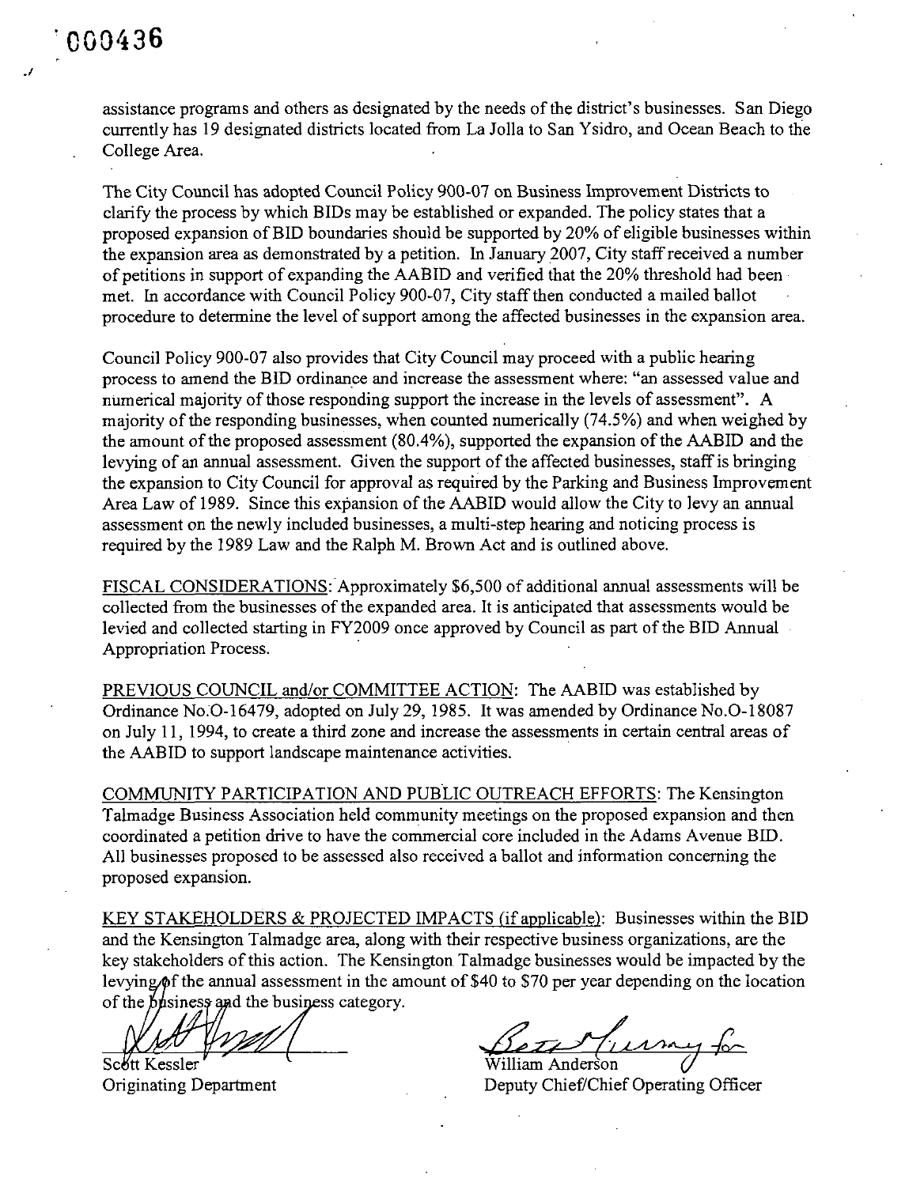./

assistance programs and others as designated by the needs of the district's businesses. San Diego currently has 19 designated districts located from La Jolla to San Ysidro, and Ocean Beach to the College Area.

The City Council has adopted Council Policy 900-07 on Business Improvement Districts to clarify the process by which BIDs may be established or expanded. The policy states that a proposed expansion of BID boundaries should be supported by 20% of eligible businesses within the expansion area as demonstrated by a petition. In January 2007, City staff received a number of petitions in support of expanding the AABID and verified that the 20% threshold had been met. In accordance with Council Policy 900-07, City staff then conducted a mailed ballot procedure to determine the level of support among the affected businesses in the expansion area.

Council Policy 900-07 also provides that City Council may proceed with a public hearing process to amend the BID ordinance and increase the assessment where: "an assessed value and numerical majority of those responding support the increase in the levels of assessment". A majority of the responding businesses, when counted numerically (74.5%) and when weighed by the amount of the proposed assessment (80.4%), supported the expansion of the AABID and the levying of an annual assessment. Given the support of the affected businesses, staff is bringing the expansion to City Council for approval as required by the Parking and Business Improvement Area Law of 1989. Since this expansion of the AABID would allow the City to levy an annual assessment on the newly included businesses, a multi-step hearing and noticing process is required by the 1989 Law and the Ralph M. Brown Act and is outlined above.

FISCAL CONSIDERATIONS: Approximately \$6,500 of additional annual assessments will be collected from the businesses of the expanded area. It is anticipated that assessments would be levied and collected starting in FY2009 once approved by Council as part of the BID Annual Appropriation Process.

PREVIOUS COUNCIL and/or COMMITTEE ACTION: The AABID was established by Ordinance No.O-16479, adopted on July 29, 1985. It was amended by Ordinance No.O-18087 on July 11, 1994, to create a third zone and increase the assessments in certain central areas of the AABID to support landscape maintenance activities.

COMMUNITY PARTICIPATION AND PUBLIC OUTREACH EFFORTS: The Kensington Talmadge Business Association held community meetings on the proposed expansion and then coordinated a petition drive to have the commercial core included in the Adams Avenue BID. All businesses proposed to be assessed also received a ballot and information conceming the proposed expansion.

KEY STAKEHOLDERS & PROJECTED IMPACTS fif applicable): Businesses within the BID and the Kensington Talmadge area, along with their respective business organizations, are the key stakeholders of this action. The Kensington Talmadge businesses would be impacted by the levying/6f the annual assessment in the amount of \$40 to \$70 per year depending on the location of the  $\frac{1}{2}$  by  $\frac{1}{2}$  and the business category.

Scott Kessler'

<u>Bett Gurney</u> for

Originating Department Deputy Chief/Chief Operating Officer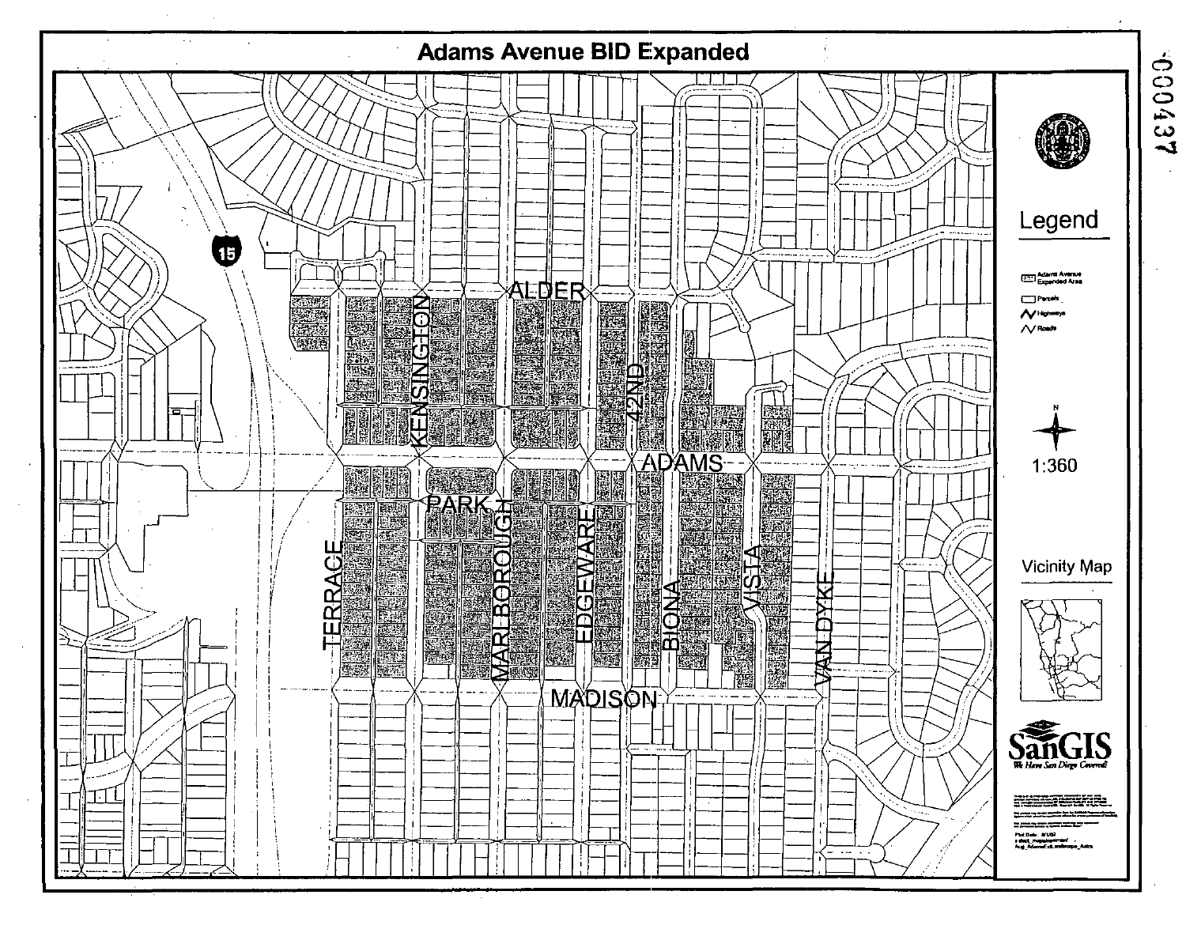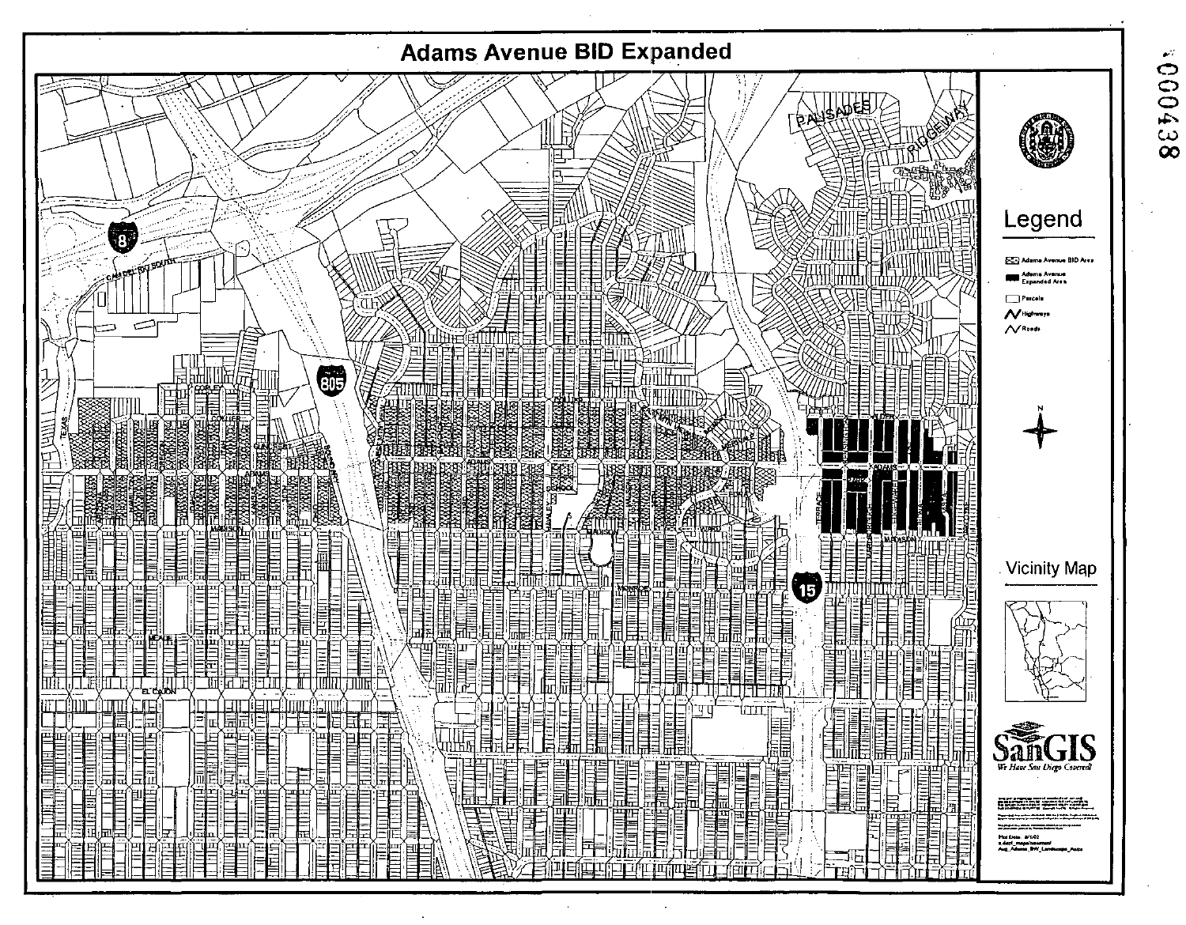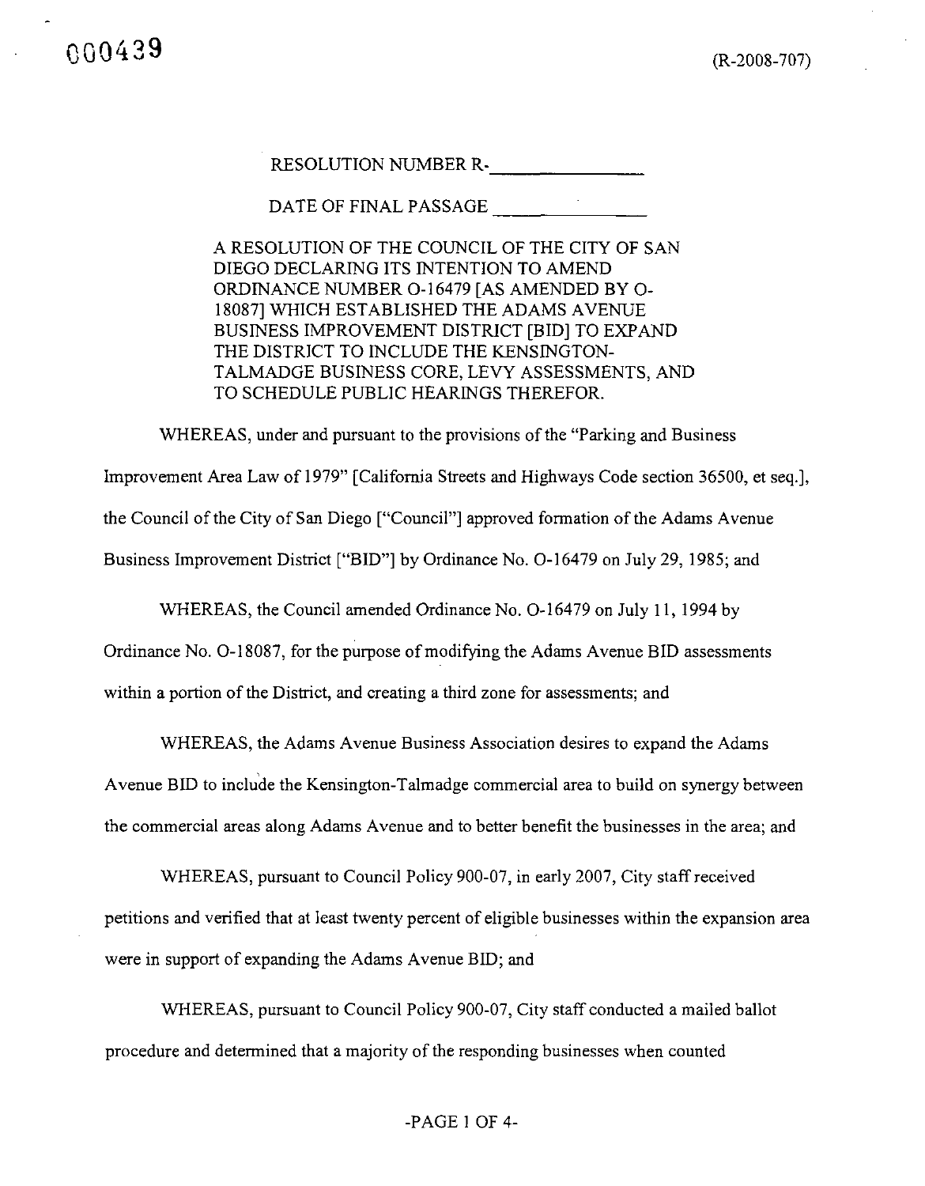RESOLUTION NUMBER R-\_

DATE OF FINAL PASSAGE

A RESOLUTION OF THE COUNCIL OF THE CITY OF SAN DIEGO DECLARING ITS INTENTION TO AMEND ORDINANCE NUMBER O-l 6479 [AS AMENDED BY O-18087] WHICH ESTABLISHED THE ADAMS AVENUE BUSINESS IMPROVEMENT DISTRICT [BID] TO EXPAND THE DISTRICT TO INCLUDE THE KENSINGTON-TALMADGE BUSINESS CORE, LEVY ASSESSMENTS, AND TO SCHEDULE PUBLIC HEARINGS THEREFOR.

WHEREAS, under and pursuant to the provisions of the "Parking and Business" Improvement Area Law of 1979" [California Streets and Highways Code section 36500, et seq.], the Council of the City of San Diego ["Council"] approved formation of the Adams Avenue Business Improvement District ["BID"] by Ordinance No. 0-16479 on July 29, 1985; and

WHEREAS, the Council amended Ordinance No. O-l6479 on July 11, 1994 by

Ordinance No. O-l 8087, for the purpose of modifying the Adams Avenue BID assessments within a portion of the District, and creating a third zone for assessments; and

WHEREAS, the Adams Avenue Business Association desires to expand the Adams

Avenue BID to include the Kensington-Talmadge commercial area to build on synergy between the commercial areas along Adams Avenue and to better benefit the businesses in the area; and

WHEREAS, pursuant to Council Policy 900-07, in early 2007, City staff received petitions and verified that at least twenty percent of eligible businesses within the expansion area were in support of expanding the Adams Avenue BID; and

WHEREAS, pursuant to Council Policy 900-07, City staff conducted a mailed ballot procedure and determined that a majority of the responding businesses when counted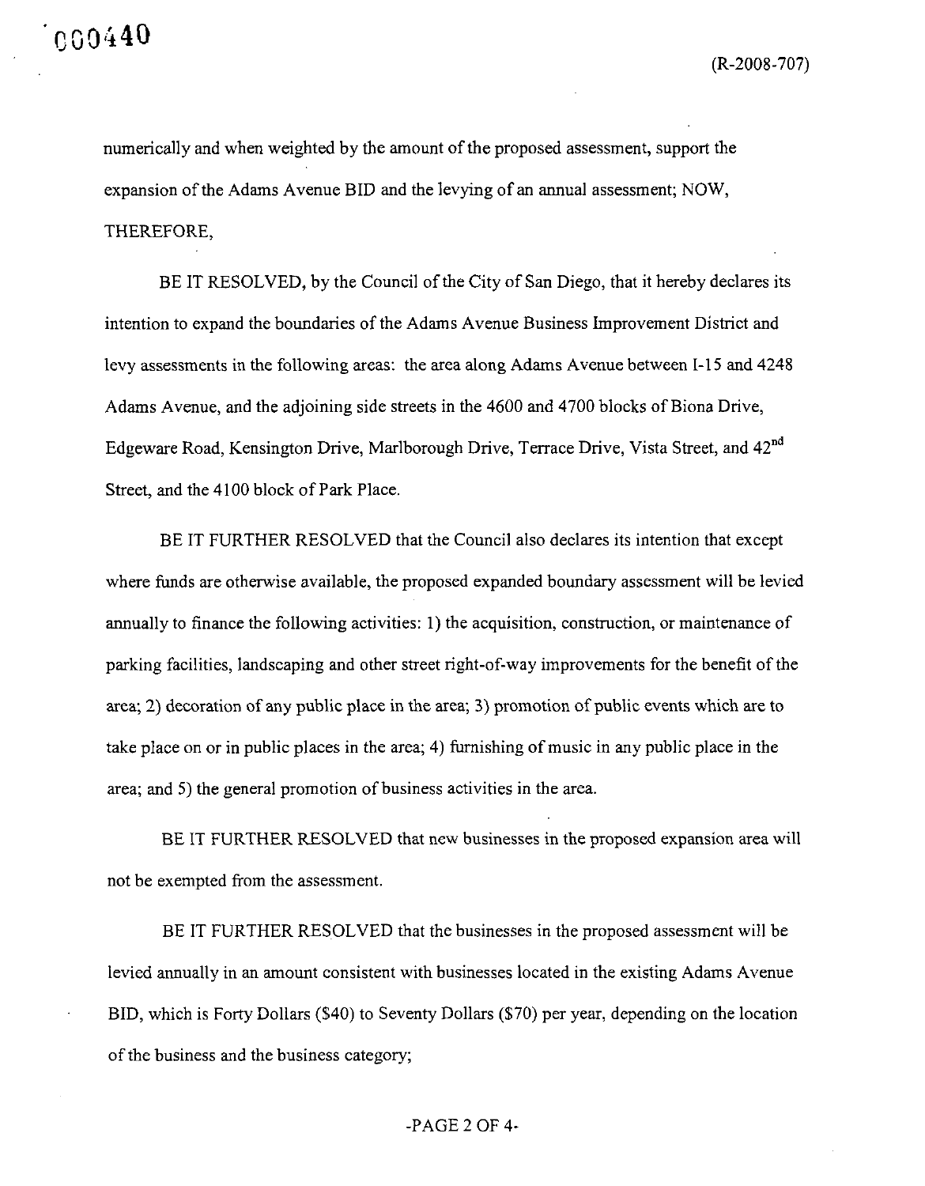numerically and when weighted by the amount of the proposed assessment, support the expansion of the Adams Avenue BID and the levying of an annual assessment; NOW, THEREFORE,

BE IT RESOLVED, by the Council of the City of San Diego, that it hereby declares its intention to expand the boundaries of the Adams Avenue Business Improvement District and levy assessments in the following areas: the area along Adams Avenue between 1-15 and 4248 Adams Avenue, and the adjoining side streets in the 4600 and 4700 blocks of Biona Drive, Edgeware Road, Kensington Drive, Marlborough Drive, Terrace Drive, Vista Street, and 42<sup>nd</sup> Street, and the 4100 block of Park Place.

BE IT FURTHER RESOLVED that the Council also declares its intention that except where funds are otherwise available, the proposed expanded boundary assessment will be levied annually to finance the following activities:  $1$ ) the acquisition, construction, or maintenance of parking facilities, landscaping and other street right-of-way improvements for the benefit of the area; 2) decoration of any public place in the area; 3) promotion of public events which are to take place on or in public places in the area; 4) furnishing of music in any public place in the area; and 5) the general promotion of business activities in the area.

BE IT FURTHER RESOLVED that new businesses in the proposed expansion area will not be exempted from the assessment.

BE IT FURTHER RESOLVED that the businesses in the proposed assessment will be levied annually in an amount consistent with businesses located in the existing Adams Avenue BID, which is Forty Dollars (\$40) to Seventy Dollars (\$70) per year, depending on the location of the business and the business category;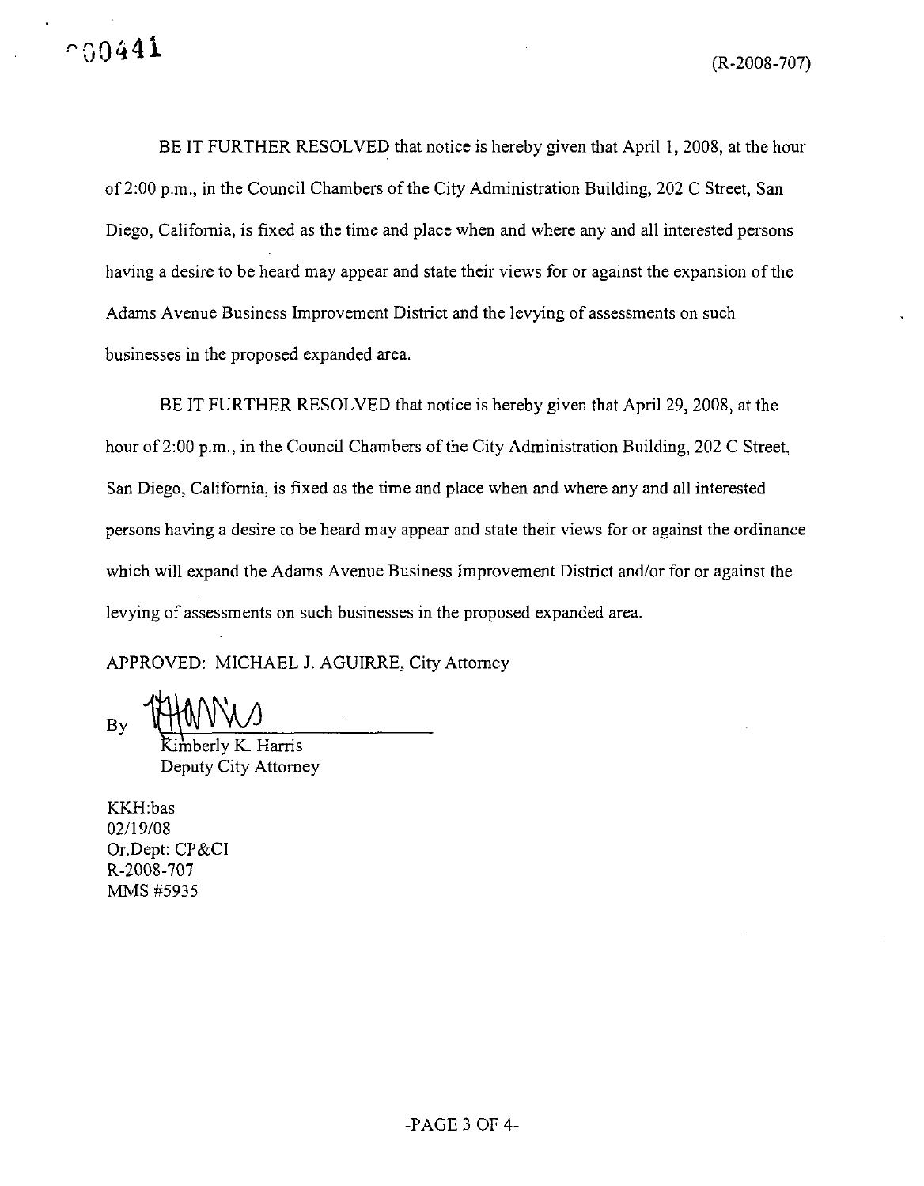BE IT FURTHER RESOLVED that notice is hereby given that April 1, 2008, at the hour of 2:00 p.m., in the Council Chambers of the City Administration Building, 202 C Street, San Diego, Caiifomia, is fixed as the time and place when and where any and all interested persons having a desire to be heard may appear and state their views for or against the expansion of the Adams Avenue Business Improvement District and the levying of assessments on such businesses in the proposed expanded area.

BE IT FURTHER RESOLVED that notice is hereby given that April 29, 2008, at the hour of 2:00 p.m., in the Council Chambers of the City Administration Building, 202 C Street, San Diego, Caiifomia, is fixed as the time and place when and where any and all interested persons having a desire to be heard may appear and state their views for or against the ordinance which will expand the Adams Avenue Business Improvement District and/or for or against the levying of assessments on such businesses in the proposed expanded area.

APPROVED: MICHAEL J. AGUIRRE, City Attorney

Bv

erly K. Harris Deputy City Attorney

KKH:bas 02/19/08 Or.Dept: CP&CI R-2008-707 MMS #5935